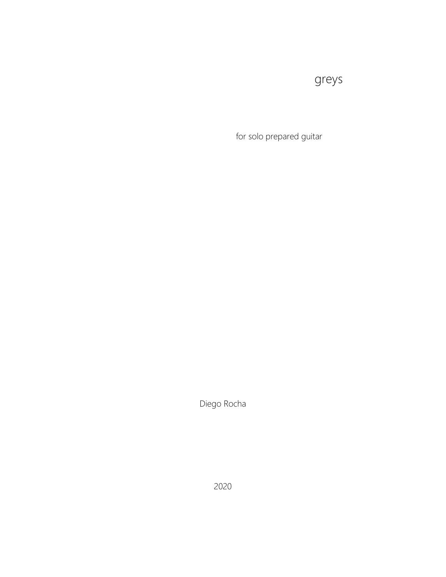## greys

for solo prepared guitar

Diego Rocha

2020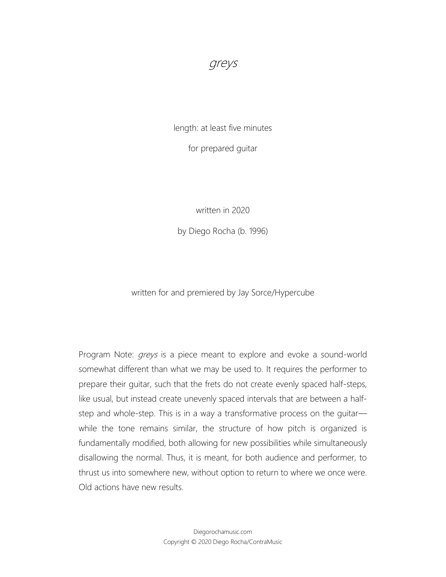greys

length: at least five minutes

for prepared guitar

written in 2020

by Diego Rocha (b. 1996)

written for and premiered by Jay Sorce/Hypercube

Program Note: *greys* is a piece meant to explore and evoke a sound-world somewhat different than what we may be used to. It requires the performer to prepare their guitar, such that the frets do not create evenly spaced half-steps, like usual, but instead create unevenly spaced intervals that are between a halfstep and whole-step. This is in a way a transformative process on the guitar while the tone remains similar, the structure of how pitch is organized is fundamentally modified, both allowing for new possibilities while simultaneously disallowing the normal. Thus, it is meant, for both audience and performer, to thrust us into somewhere new, without option to return to where we once were. Old actions have new results.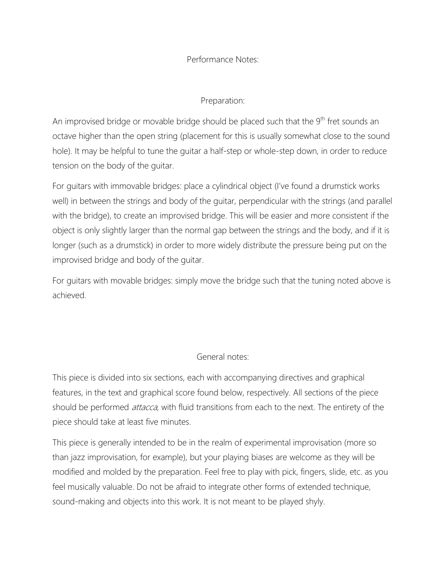Performance Notes:

Preparation:

An improvised bridge or movable bridge should be placed such that the 9<sup>th</sup> fret sounds an octave higher than the open string (placement for this is usually somewhat close to the sound hole). It may be helpful to tune the guitar a half-step or whole-step down, in order to reduce tension on the body of the guitar.

For guitars with immovable bridges: place a cylindrical object (I've found a drumstick works well) in between the strings and body of the guitar, perpendicular with the strings (and parallel with the bridge), to create an improvised bridge. This will be easier and more consistent if the object is only slightly larger than the normal gap between the strings and the body, and if it is longer (such as a drumstick) in order to more widely distribute the pressure being put on the improvised bridge and body of the guitar.

For guitars with movable bridges: simply move the bridge such that the tuning noted above is achieved.

General notes:

This piece is divided into six sections, each with accompanying directives and graphical features, in the text and graphical score found below, respectively. All sections of the piece should be performed *attacca*, with fluid transitions from each to the next. The entirety of the piece should take at least five minutes.

This piece is generally intended to be in the realm of experimental improvisation (more so than jazz improvisation, for example), but your playing biases are welcome as they will be modified and molded by the preparation. Feel free to play with pick, fingers, slide, etc. as you feel musically valuable. Do not be afraid to integrate other forms of extended technique, sound-making and objects into this work. It is not meant to be played shyly.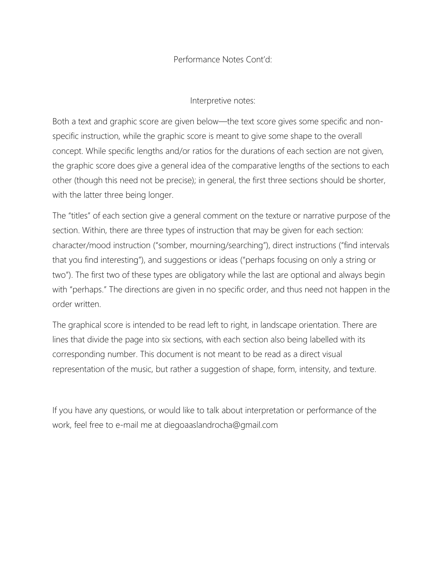## Performance Notes Cont'd:

Interpretive notes:

Both a text and graphic score are given below—the text score gives some specific and nonspecific instruction, while the graphic score is meant to give some shape to the overall concept. While specific lengths and/or ratios for the durations of each section are not given, the graphic score does give a general idea of the comparative lengths of the sections to each other (though this need not be precise); in general, the first three sections should be shorter, with the latter three being longer.

The "titles" of each section give a general comment on the texture or narrative purpose of the section. Within, there are three types of instruction that may be given for each section: character/mood instruction ("somber, mourning/searching"), direct instructions ("find intervals that you find interesting"), and suggestions or ideas ("perhaps focusing on only a string or two"). The first two of these types are obligatory while the last are optional and always begin with "perhaps." The directions are given in no specific order, and thus need not happen in the order written.

The graphical score is intended to be read left to right, in landscape orientation. There are lines that divide the page into six sections, with each section also being labelled with its corresponding number. This document is not meant to be read as a direct visual representation of the music, but rather a suggestion of shape, form, intensity, and texture.

If you have any questions, or would like to talk about interpretation or performance of the work, feel free to e-mail me at diegoaaslandrocha@gmail.com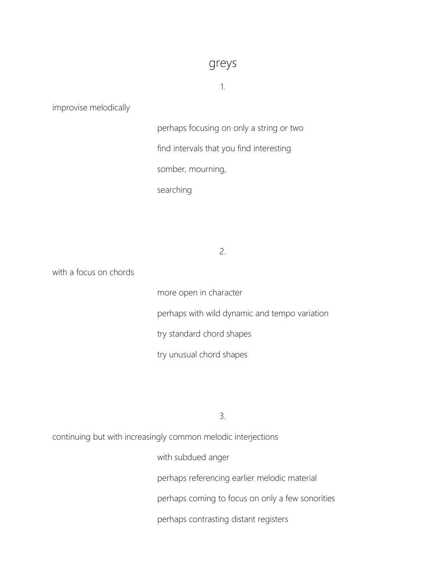## greys

1.

improvise melodically

perhaps focusing on only a string or two find intervals that you find interesting somber, mourning, searching

2.

with a focus on chords

more open in character perhaps with wild dynamic and tempo variation try standard chord shapes try unusual chord shapes

3.

continuing but with increasingly common melodic interjections

with subdued anger perhaps referencing earlier melodic material perhaps coming to focus on only a few sonorities perhaps contrasting distant registers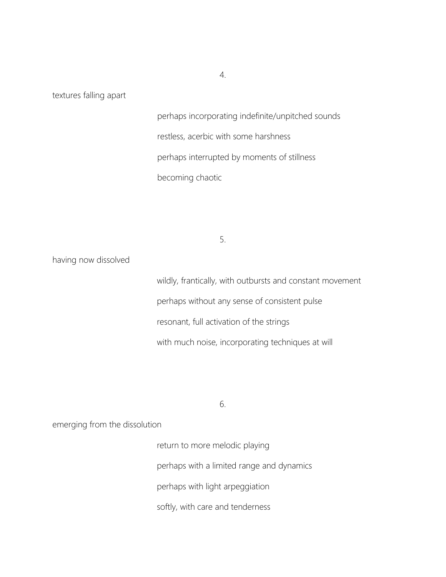textures falling apart

perhaps incorporating indefinite/unpitched sounds restless, acerbic with some harshness perhaps interrupted by moments of stillness becoming chaotic

5.

having now dissolved

wildly, frantically, with outbursts and constant movement perhaps without any sense of consistent pulse resonant, full activation of the strings with much noise, incorporating techniques at will

6.

emerging from the dissolution

return to more melodic playing perhaps with a limited range and dynamics perhaps with light arpeggiation softly, with care and tenderness

4.